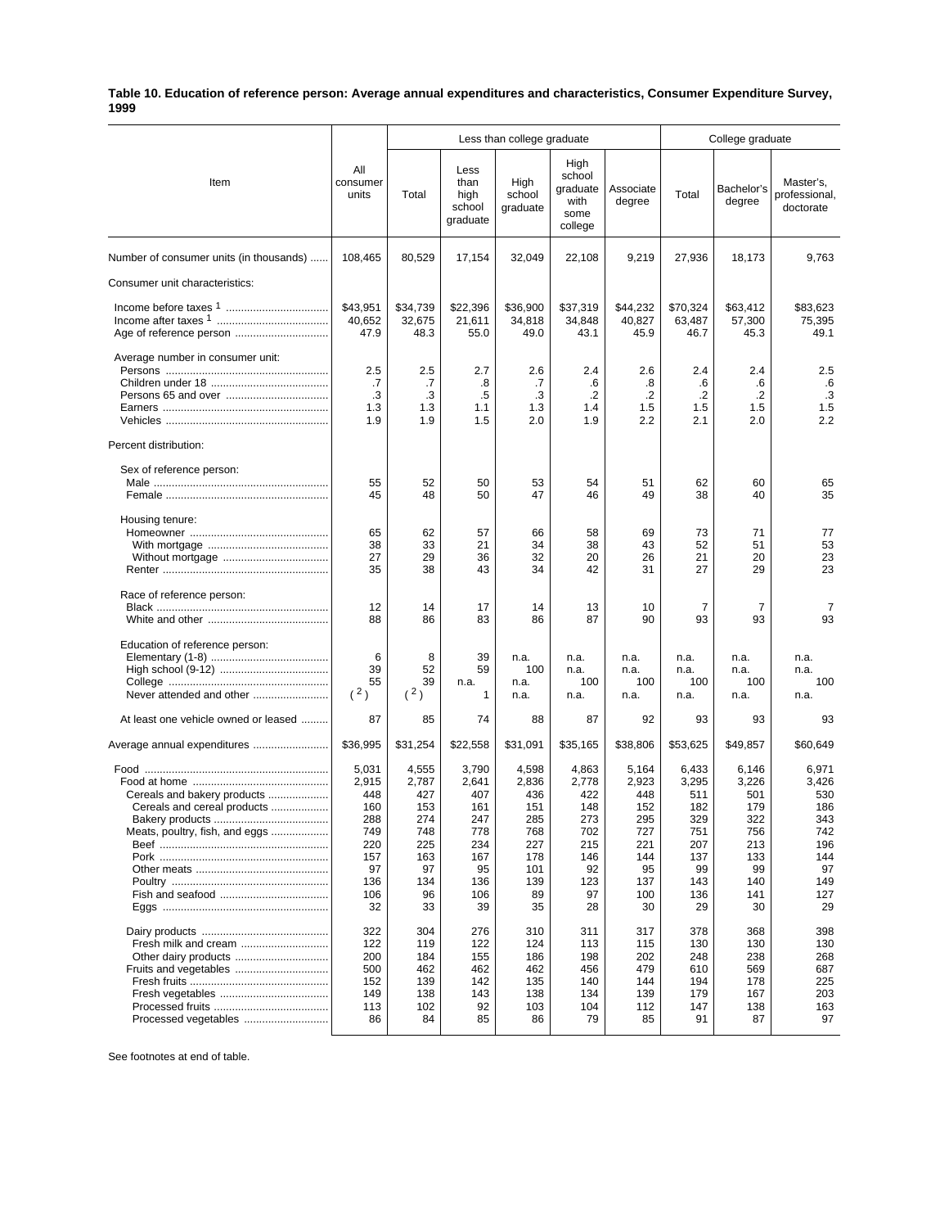## **Table 10. Education of reference person: Average annual expenditures and characteristics, Consumer Expenditure Survey, 1999**

|                                                                                                    |                                                                                           | Less than college graduate                                                               |                                                                                           |                                                                                           |                                                                                          |                                                                                           | College graduate                                                                          |                                                                                           |                                                                                           |
|----------------------------------------------------------------------------------------------------|-------------------------------------------------------------------------------------------|------------------------------------------------------------------------------------------|-------------------------------------------------------------------------------------------|-------------------------------------------------------------------------------------------|------------------------------------------------------------------------------------------|-------------------------------------------------------------------------------------------|-------------------------------------------------------------------------------------------|-------------------------------------------------------------------------------------------|-------------------------------------------------------------------------------------------|
| Item                                                                                               | All<br>consumer<br>units                                                                  | Total                                                                                    | Less<br>than<br>high<br>school<br>graduate                                                | High<br>school<br>graduate                                                                | High<br>school<br>graduate<br>with<br>some<br>college                                    | Associate<br>degree                                                                       | Total                                                                                     | Bachelor's<br>degree                                                                      | Master's,<br>professional,<br>doctorate                                                   |
| Number of consumer units (in thousands)                                                            | 108,465                                                                                   | 80,529                                                                                   | 17,154                                                                                    | 32,049                                                                                    | 22,108                                                                                   | 9,219                                                                                     | 27,936                                                                                    | 18,173                                                                                    | 9,763                                                                                     |
| Consumer unit characteristics:                                                                     |                                                                                           |                                                                                          |                                                                                           |                                                                                           |                                                                                          |                                                                                           |                                                                                           |                                                                                           |                                                                                           |
|                                                                                                    | \$43,951<br>40,652<br>47.9                                                                | \$34,739<br>32,675<br>48.3                                                               | \$22,396<br>21,611<br>55.0                                                                | \$36,900<br>34,818<br>49.0                                                                | \$37,319<br>34,848<br>43.1                                                               | \$44,232<br>40,827<br>45.9                                                                | \$70,324<br>63,487<br>46.7                                                                | \$63,412<br>57,300<br>45.3                                                                | \$83,623<br>75,395<br>49.1                                                                |
| Average number in consumer unit:                                                                   | 2.5<br>.7<br>.3<br>1.3<br>1.9                                                             | 2.5<br>.7<br>.3<br>1.3<br>1.9                                                            | 2.7<br>.8<br>.5<br>1.1<br>1.5                                                             | 2.6<br>.7<br>.3<br>1.3<br>2.0                                                             | 2.4<br>.6<br>.2<br>1.4<br>1.9                                                            | 2.6<br>.8<br>.2<br>1.5<br>2.2                                                             | 2.4<br>.6<br>$\cdot$<br>1.5<br>2.1                                                        | 2.4<br>.6<br>.2<br>1.5<br>2.0                                                             | 2.5<br>.6<br>$\cdot$ 3<br>1.5<br>2.2                                                      |
| Percent distribution:                                                                              |                                                                                           |                                                                                          |                                                                                           |                                                                                           |                                                                                          |                                                                                           |                                                                                           |                                                                                           |                                                                                           |
| Sex of reference person:                                                                           | 55<br>45                                                                                  | 52<br>48                                                                                 | 50<br>50                                                                                  | 53<br>47                                                                                  | 54<br>46                                                                                 | 51<br>49                                                                                  | 62<br>38                                                                                  | 60<br>40                                                                                  | 65<br>35                                                                                  |
| Housing tenure:                                                                                    | 65<br>38<br>27<br>35                                                                      | 62<br>33<br>29<br>38                                                                     | 57<br>21<br>36<br>43                                                                      | 66<br>34<br>32<br>34                                                                      | 58<br>38<br>20<br>42                                                                     | 69<br>43<br>26<br>31                                                                      | 73<br>52<br>21<br>27                                                                      | 71<br>51<br>20<br>29                                                                      | 77<br>53<br>23<br>23                                                                      |
| Race of reference person:                                                                          | 12<br>88                                                                                  | 14<br>86                                                                                 | 17<br>83                                                                                  | 14<br>86                                                                                  | 13<br>87                                                                                 | 10<br>90                                                                                  | $\overline{7}$<br>93                                                                      | 7<br>93                                                                                   | 7<br>93                                                                                   |
| Education of reference person:<br>Never attended and other<br>At least one vehicle owned or leased | 6<br>39<br>55<br>(2)<br>87                                                                | 8<br>52<br>39<br>(2)<br>85                                                               | 39<br>59<br>n.a.<br>1<br>74                                                               | n.a.<br>100<br>n.a.<br>n.a.<br>88                                                         | n.a.<br>n.a.<br>100<br>n.a.<br>87                                                        | n.a.<br>n.a.<br>100<br>n.a.<br>92                                                         | n.a.<br>n.a.<br>100<br>n.a.<br>93                                                         | n.a.<br>n.a.<br>100<br>n.a.<br>93                                                         | n.a.<br>n.a.<br>100<br>n.a.<br>93                                                         |
| Average annual expenditures                                                                        | \$36,995                                                                                  | \$31,254                                                                                 | \$22,558                                                                                  | \$31,091                                                                                  | \$35,165                                                                                 | \$38,806                                                                                  | \$53,625                                                                                  | \$49,857                                                                                  | \$60,649                                                                                  |
| Cereals and bakery products<br>Cereals and cereal products<br>Meats, poultry, fish, and eggs       | 5,031<br>2,915<br>448<br>160<br>288<br>749<br>220<br>157<br>97<br>136<br>106<br>32<br>322 | 4,555<br>2,787<br>427<br>153<br>274<br>748<br>225<br>163<br>97<br>134<br>96<br>33<br>304 | 3,790<br>2,641<br>407<br>161<br>247<br>778<br>234<br>167<br>95<br>136<br>106<br>39<br>276 | 4,598<br>2,836<br>436<br>151<br>285<br>768<br>227<br>178<br>101<br>139<br>89<br>35<br>310 | 4,863<br>2,778<br>422<br>148<br>273<br>702<br>215<br>146<br>92<br>123<br>97<br>28<br>311 | 5,164<br>2,923<br>448<br>152<br>295<br>727<br>221<br>144<br>95<br>137<br>100<br>30<br>317 | 6,433<br>3,295<br>511<br>182<br>329<br>751<br>207<br>137<br>99<br>143<br>136<br>29<br>378 | 6,146<br>3,226<br>501<br>179<br>322<br>756<br>213<br>133<br>99<br>140<br>141<br>30<br>368 | 6,971<br>3,426<br>530<br>186<br>343<br>742<br>196<br>144<br>97<br>149<br>127<br>29<br>398 |
| Fresh milk and cream<br>Fruits and vegetables<br>Processed vegetables                              | 122<br>200<br>500<br>152<br>149<br>113<br>86                                              | 119<br>184<br>462<br>139<br>138<br>102<br>84                                             | 122<br>155<br>462<br>142<br>143<br>92<br>85                                               | 124<br>186<br>462<br>135<br>138<br>103<br>86                                              | 113<br>198<br>456<br>140<br>134<br>104<br>79                                             | 115<br>202<br>479<br>144<br>139<br>112<br>85                                              | 130<br>248<br>610<br>194<br>179<br>147<br>91                                              | 130<br>238<br>569<br>178<br>167<br>138<br>87                                              | 130<br>268<br>687<br>225<br>203<br>163<br>97                                              |

See footnotes at end of table.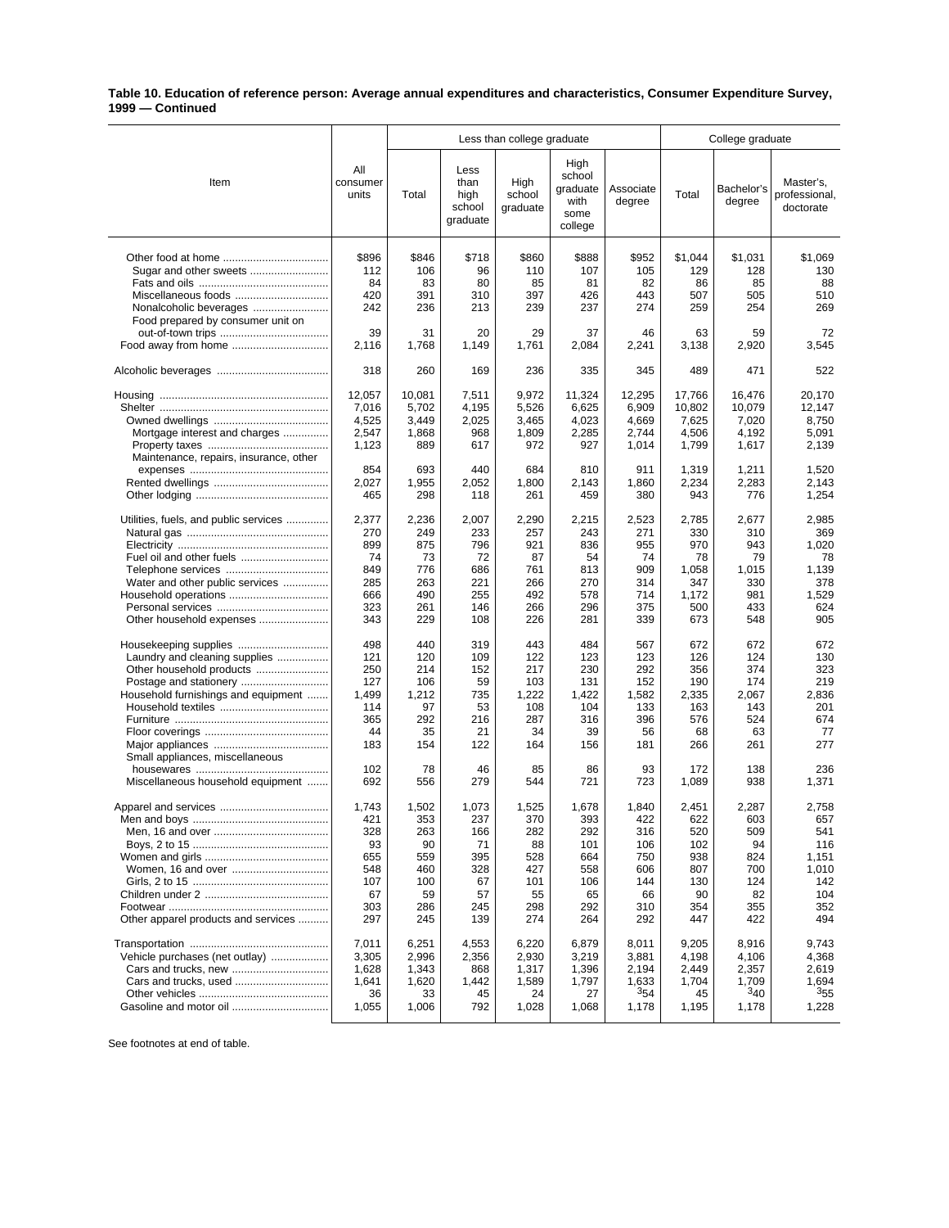## **Table 10. Education of reference person: Average annual expenditures and characteristics, Consumer Expenditure Survey, 1999 — Continued**

|                                        |                          | Less than college graduate |                                            |                            |                                                       |                     | College graduate |                      |                                         |  |
|----------------------------------------|--------------------------|----------------------------|--------------------------------------------|----------------------------|-------------------------------------------------------|---------------------|------------------|----------------------|-----------------------------------------|--|
| Item                                   | All<br>consumer<br>units | Total                      | Less<br>than<br>high<br>school<br>graduate | High<br>school<br>graduate | High<br>school<br>graduate<br>with<br>some<br>college | Associate<br>degree | Total            | Bachelor's<br>degree | Master's,<br>professional.<br>doctorate |  |
|                                        | \$896                    | \$846                      | \$718                                      | \$860                      | \$888                                                 | \$952               | \$1,044          | \$1,031              | \$1,069                                 |  |
| Sugar and other sweets                 | 112                      | 106                        | 96                                         | 110                        | 107                                                   | 105                 | 129              | 128                  | 130                                     |  |
|                                        | 84                       | 83                         | 80                                         | 85                         | 81                                                    | 82                  | 86               | 85                   | 88                                      |  |
|                                        | 420                      | 391                        | 310                                        | 397                        | 426                                                   | 443                 | 507              | 505                  | 510                                     |  |
| Nonalcoholic beverages                 | 242                      | 236                        | 213                                        | 239                        | 237                                                   | 274                 | 259              | 254                  | 269                                     |  |
| Food prepared by consumer unit on      |                          |                            |                                            |                            |                                                       |                     |                  |                      |                                         |  |
|                                        | 39                       | 31                         | 20                                         | 29                         | 37                                                    | 46                  | 63               | 59                   | 72                                      |  |
|                                        | 2,116                    | 1.768                      | 1,149                                      | 1,761                      | 2,084                                                 | 2,241               | 3,138            | 2,920                | 3,545                                   |  |
|                                        | 318                      | 260                        | 169                                        | 236                        | 335                                                   | 345                 | 489              | 471                  | 522                                     |  |
|                                        | 12,057                   | 10,081                     | 7,511                                      | 9,972                      | 11,324                                                | 12,295              | 17,766           | 16,476               | 20,170                                  |  |
|                                        | 7,016                    | 5,702                      | 4,195                                      | 5,526                      | 6,625                                                 | 6,909               | 10,802           | 10,079               | 12,147                                  |  |
| Mortgage interest and charges          | 4,525<br>2,547           | 3,449<br>1,868             | 2,025<br>968                               | 3,465<br>1,809             | 4,023<br>2,285                                        | 4,669<br>2,744      | 7,625<br>4,506   | 7,020<br>4.192       | 8,750<br>5,091                          |  |
|                                        | 1,123                    | 889                        | 617                                        | 972                        | 927                                                   | 1,014               | 1,799            | 1,617                | 2,139                                   |  |
| Maintenance, repairs, insurance, other |                          |                            |                                            |                            |                                                       |                     |                  |                      |                                         |  |
|                                        | 854                      | 693                        | 440                                        | 684                        | 810                                                   | 911                 | 1,319            | 1,211                | 1,520                                   |  |
|                                        | 2,027                    | 1,955                      | 2.052                                      | 1,800                      | 2,143                                                 | 1,860               | 2,234            | 2,283                | 2,143                                   |  |
|                                        | 465                      | 298                        | 118                                        | 261                        | 459                                                   | 380                 | 943              | 776                  | 1,254                                   |  |
| Utilities, fuels, and public services  | 2,377                    | 2,236                      | 2,007                                      | 2,290                      | 2,215                                                 | 2,523               | 2,785            | 2,677                | 2,985                                   |  |
|                                        | 270                      | 249                        | 233                                        | 257                        | 243                                                   | 271                 | 330              | 310                  | 369                                     |  |
|                                        | 899<br>74                | 875<br>73                  | 796<br>72                                  | 921<br>87                  | 836<br>54                                             | 955<br>74           | 970<br>78        | 943<br>79            | 1,020<br>78                             |  |
|                                        | 849                      | 776                        | 686                                        | 761                        | 813                                                   | 909                 | 1,058            | 1,015                | 1,139                                   |  |
| Water and other public services        | 285                      | 263                        | 221                                        | 266                        | 270                                                   | 314                 | 347              | 330                  | 378                                     |  |
| Household operations                   | 666                      | 490                        | 255                                        | 492                        | 578                                                   | 714                 | 1,172            | 981                  | 1,529                                   |  |
|                                        | 323                      | 261                        | 146                                        | 266                        | 296                                                   | 375                 | 500              | 433                  | 624                                     |  |
| Other household expenses               | 343                      | 229                        | 108                                        | 226                        | 281                                                   | 339                 | 673              | 548                  | 905                                     |  |
|                                        | 498                      | 440                        | 319                                        | 443                        | 484                                                   | 567                 | 672              | 672                  | 672                                     |  |
| Laundry and cleaning supplies          | 121                      | 120                        | 109                                        | 122                        | 123                                                   | 123                 | 126              | 124                  | 130                                     |  |
| Other household products               | 250                      | 214                        | 152                                        | 217                        | 230                                                   | 292                 | 356              | 374                  | 323                                     |  |
|                                        | 127                      | 106                        | 59                                         | 103                        | 131                                                   | 152                 | 190              | 174                  | 219                                     |  |
| Household furnishings and equipment    | 1,499                    | 1,212                      | 735                                        | 1,222                      | 1,422                                                 | 1,582               | 2,335            | 2,067                | 2,836                                   |  |
|                                        | 114<br>365               | 97<br>292                  | 53<br>216                                  | 108<br>287                 | 104<br>316                                            | 133<br>396          | 163<br>576       | 143<br>524           | 201<br>674                              |  |
|                                        | 44                       | 35                         | 21                                         | 34                         | 39                                                    | 56                  | 68               | 63                   | 77                                      |  |
|                                        | 183                      | 154                        | 122                                        | 164                        | 156                                                   | 181                 | 266              | 261                  | 277                                     |  |
| Small appliances, miscellaneous        |                          |                            |                                            |                            |                                                       |                     |                  |                      |                                         |  |
|                                        | 102                      | 78                         | 46                                         | 85                         | 86                                                    | 93                  | 172              | 138                  | 236                                     |  |
| Miscellaneous household equipment      | 692                      | 556                        | 279                                        | 544                        | 721                                                   | 723                 | 1,089            | 938                  | 1,371                                   |  |
|                                        | 1,743                    | 1,502                      | 1,073                                      | 1,525                      | 1,678                                                 | 1,840               | 2,451            | 2,287                | 2,758                                   |  |
|                                        | 421                      | 353                        | 237                                        | 370                        | 393                                                   | 422                 | 622              | 603                  | 657                                     |  |
|                                        | 328                      | 263                        | 166                                        | 282                        | 292                                                   | 316                 | 520              | 509                  | 541                                     |  |
|                                        | 93                       | 90                         | 71                                         | 88                         | 101                                                   | 106                 | 102              | 94                   | 116                                     |  |
|                                        | 655<br>548               | 559<br>460                 | 395<br>328                                 | 528<br>427                 | 664<br>558                                            | 750<br>606          | 938<br>807       | 824<br>700           | 1,151<br>1,010                          |  |
|                                        | 107                      | 100                        | 67                                         | 101                        | 106                                                   | 144                 | 130              | 124                  | 142                                     |  |
|                                        | 67                       | 59                         | 57                                         | 55                         | 65                                                    | 66                  | 90               | 82                   | 104                                     |  |
|                                        | 303                      | 286                        | 245                                        | 298                        | 292                                                   | 310                 | 354              | 355                  | 352                                     |  |
| Other apparel products and services    | 297                      | 245                        | 139                                        | 274                        | 264                                                   | 292                 | 447              | 422                  | 494                                     |  |
|                                        | 7,011                    | 6,251                      | 4,553                                      | 6,220                      | 6,879                                                 | 8,011               | 9,205            | 8,916                | 9,743                                   |  |
| Vehicle purchases (net outlay)         | 3,305                    | 2,996                      | 2,356                                      | 2,930                      | 3,219                                                 | 3,881               | 4,198            | 4,106                | 4,368                                   |  |
|                                        | 1,628                    | 1,343                      | 868                                        | 1,317                      | 1,396                                                 | 2,194               | 2,449            | 2,357                | 2,619                                   |  |
|                                        | 1,641                    | 1,620                      | 1,442                                      | 1,589                      | 1,797                                                 | 1,633               | 1,704            | 1,709                | 1,694                                   |  |
| Gasoline and motor oil                 | 36                       | 33                         | 45                                         | 24                         | 27                                                    | 354                 | 45               | 340<br>1,178         | $3_{55}$                                |  |
|                                        | 1,055                    | 1,006                      | 792                                        | 1,028                      | 1,068                                                 | 1,178               | 1,195            |                      | 1,228                                   |  |

See footnotes at end of table.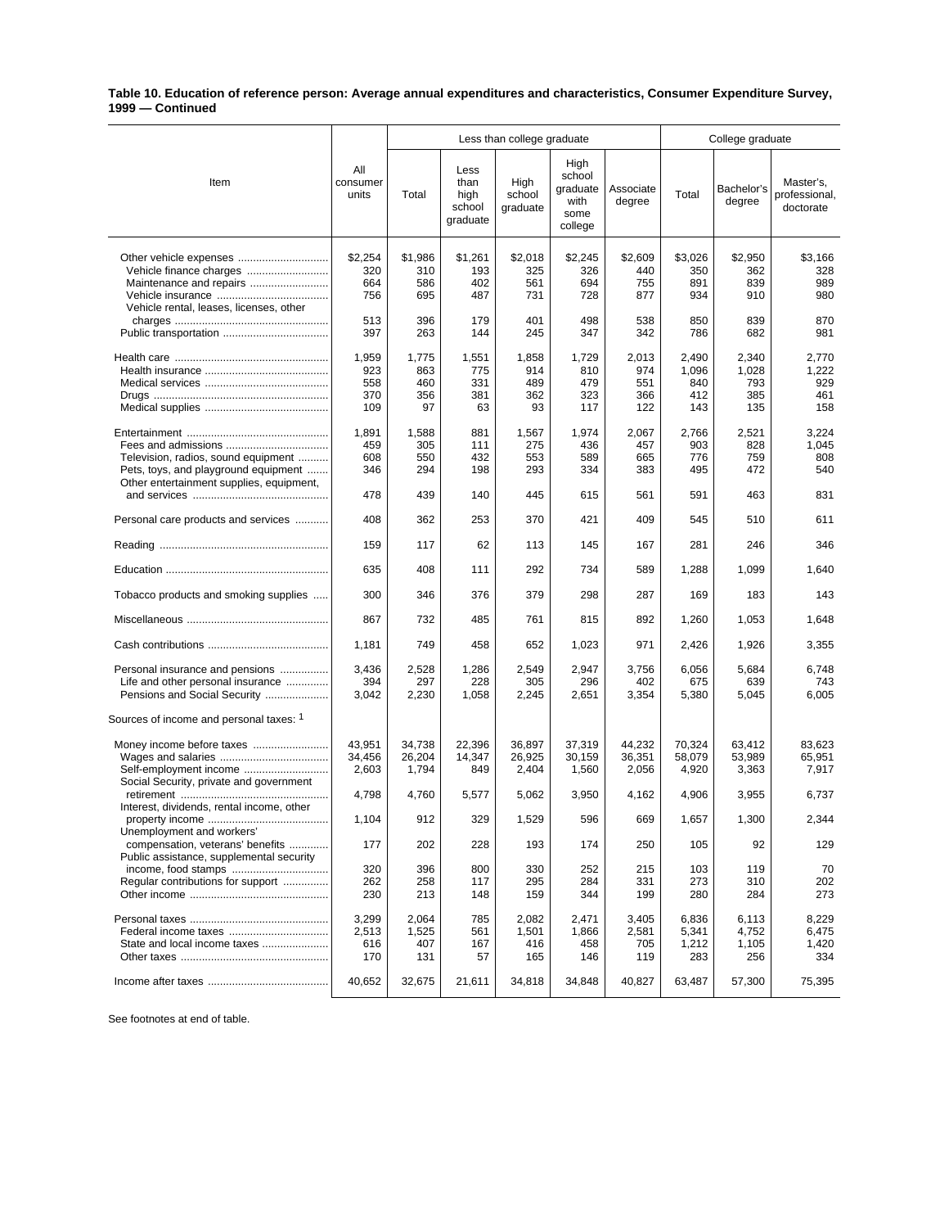## **Table 10. Education of reference person: Average annual expenditures and characteristics, Consumer Expenditure Survey, 1999 — Continued**

|                                                                                                                                                |                                   | Less than college graduate       |                                            |                                  |                                                       |                                   | College graduate                    |                                     |                                         |
|------------------------------------------------------------------------------------------------------------------------------------------------|-----------------------------------|----------------------------------|--------------------------------------------|----------------------------------|-------------------------------------------------------|-----------------------------------|-------------------------------------|-------------------------------------|-----------------------------------------|
| Item                                                                                                                                           | All<br>consumer<br>units          | Total                            | Less<br>than<br>high<br>school<br>graduate | High<br>school<br>graduate       | High<br>school<br>graduate<br>with<br>some<br>college | Associate<br>degree               | Total                               | Bachelor's<br>degree                | Master's,<br>professional,<br>doctorate |
| Other vehicle expenses<br>Vehicle finance charges<br>Vehicle rental, leases, licenses, other                                                   | \$2,254<br>320<br>664<br>756      | \$1,986<br>310<br>586<br>695     | \$1,261<br>193<br>402<br>487               | \$2,018<br>325<br>561<br>731     | \$2,245<br>326<br>694<br>728                          | \$2,609<br>440<br>755<br>877      | \$3,026<br>350<br>891<br>934        | \$2,950<br>362<br>839<br>910        | \$3,166<br>328<br>989<br>980            |
|                                                                                                                                                | 513<br>397                        | 396<br>263                       | 179<br>144                                 | 401<br>245                       | 498<br>347                                            | 538<br>342                        | 850<br>786                          | 839<br>682                          | 870<br>981                              |
|                                                                                                                                                | 1,959<br>923<br>558<br>370<br>109 | 1,775<br>863<br>460<br>356<br>97 | 1,551<br>775<br>331<br>381<br>63           | 1,858<br>914<br>489<br>362<br>93 | 1,729<br>810<br>479<br>323<br>117                     | 2,013<br>974<br>551<br>366<br>122 | 2,490<br>1,096<br>840<br>412<br>143 | 2,340<br>1,028<br>793<br>385<br>135 | 2,770<br>1,222<br>929<br>461<br>158     |
| Fees and admissions<br>Television, radios, sound equipment<br>Pets, toys, and playground equipment<br>Other entertainment supplies, equipment, | 1,891<br>459<br>608<br>346        | 1,588<br>305<br>550<br>294       | 881<br>111<br>432<br>198                   | 1,567<br>275<br>553<br>293       | 1,974<br>436<br>589<br>334                            | 2,067<br>457<br>665<br>383        | 2,766<br>903<br>776<br>495          | 2,521<br>828<br>759<br>472          | 3,224<br>1,045<br>808<br>540            |
|                                                                                                                                                | 478                               | 439                              | 140                                        | 445                              | 615                                                   | 561                               | 591                                 | 463                                 | 831                                     |
| Personal care products and services                                                                                                            | 408                               | 362                              | 253                                        | 370                              | 421                                                   | 409                               | 545                                 | 510                                 | 611                                     |
|                                                                                                                                                | 159                               | 117                              | 62                                         | 113                              | 145                                                   | 167                               | 281                                 | 246                                 | 346                                     |
|                                                                                                                                                | 635                               | 408                              | 111                                        | 292                              | 734                                                   | 589                               | 1,288                               | 1,099                               | 1,640                                   |
| Tobacco products and smoking supplies                                                                                                          | 300                               | 346                              | 376                                        | 379                              | 298                                                   | 287                               | 169                                 | 183                                 | 143                                     |
|                                                                                                                                                | 867                               | 732                              | 485                                        | 761                              | 815                                                   | 892                               | 1,260                               | 1,053                               | 1,648                                   |
|                                                                                                                                                | 1,181                             | 749                              | 458                                        | 652                              | 1,023                                                 | 971                               | 2,426                               | 1,926                               | 3,355                                   |
| Personal insurance and pensions<br>Life and other personal insurance<br>Pensions and Social Security                                           | 3,436<br>394<br>3,042             | 2,528<br>297<br>2,230            | 1,286<br>228<br>1,058                      | 2,549<br>305<br>2,245            | 2,947<br>296<br>2,651                                 | 3,756<br>402<br>3,354             | 6,056<br>675<br>5,380               | 5,684<br>639<br>5,045               | 6,748<br>743<br>6,005                   |
| Sources of income and personal taxes: 1                                                                                                        |                                   |                                  |                                            |                                  |                                                       |                                   |                                     |                                     |                                         |
| Money income before taxes<br>Self-employment income<br>Social Security, private and government                                                 | 43,951<br>34,456<br>2,603         | 34,738<br>26,204<br>1,794        | 22.396<br>14,347<br>849                    | 36,897<br>26,925<br>2,404        | 37,319<br>30,159<br>1,560                             | 44,232<br>36,351<br>2,056         | 70,324<br>58,079<br>4,920           | 63,412<br>53,989<br>3,363           | 83,623<br>65,951<br>7,917               |
| Interest, dividends, rental income, other                                                                                                      | 4,798                             | 4,760                            | 5,577                                      | 5,062                            | 3,950                                                 | 4,162                             | 4,906                               | 3,955                               | 6,737                                   |
| property income<br>Unemployment and workers'                                                                                                   | 1,104                             | 912                              | 329                                        | 1,529                            | 596                                                   | 669                               | 1,657                               | 1,300                               | 2,344                                   |
| compensation, veterans' benefits<br>Public assistance, supplemental security                                                                   | 177                               | 202                              | 228                                        | 193                              | 174                                                   | 250                               | 105                                 | 92                                  | 129                                     |
| Regular contributions for support                                                                                                              | 320<br>262<br>230                 | 396<br>258<br>213                | 800<br>117<br>148                          | 330<br>295<br>159                | 252<br>284<br>344                                     | 215<br>331<br>199                 | 103<br>273<br>280                   | 119<br>310<br>284                   | 70<br>202<br>273                        |
| State and local income taxes                                                                                                                   | 3,299<br>2,513<br>616<br>170      | 2,064<br>1,525<br>407<br>131     | 785<br>561<br>167<br>57                    | 2,082<br>1,501<br>416<br>165     | 2,471<br>1,866<br>458<br>146                          | 3,405<br>2,581<br>705<br>119      | 6,836<br>5,341<br>1,212<br>283      | 6,113<br>4,752<br>1,105<br>256      | 8,229<br>6,475<br>1,420<br>334          |
|                                                                                                                                                | 40,652                            | 32,675                           | 21,611                                     | 34,818                           | 34,848                                                | 40,827                            | 63,487                              | 57,300                              | 75,395                                  |

See footnotes at end of table.